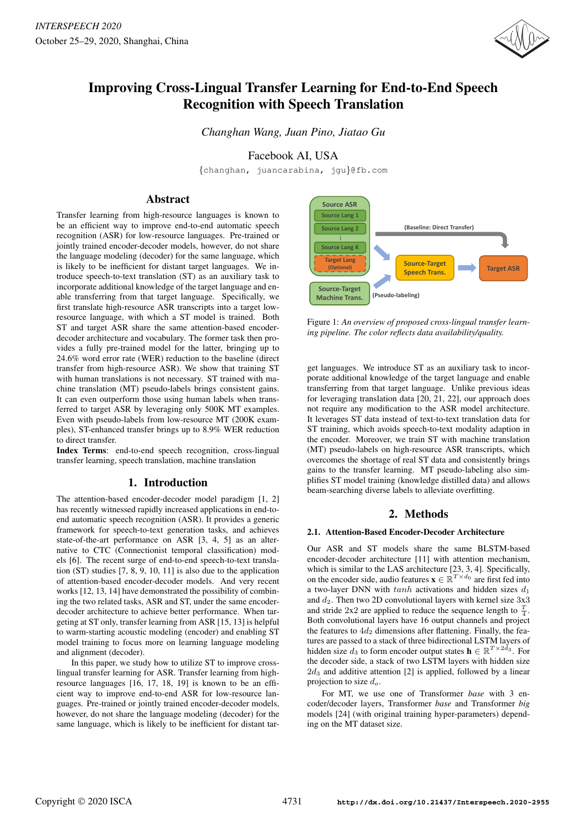

# Improving Cross-Lingual Transfer Learning for End-to-End Speech Recognition with Speech Translation

*Changhan Wang, Juan Pino, Jiatao Gu*

Facebook AI, USA

{changhan, juancarabina, jgu}@fb.com

# Abstract

Transfer learning from high-resource languages is known to be an efficient way to improve end-to-end automatic speech recognition (ASR) for low-resource languages. Pre-trained or jointly trained encoder-decoder models, however, do not share the language modeling (decoder) for the same language, which is likely to be inefficient for distant target languages. We introduce speech-to-text translation (ST) as an auxiliary task to incorporate additional knowledge of the target language and enable transferring from that target language. Specifically, we first translate high-resource ASR transcripts into a target lowresource language, with which a ST model is trained. Both ST and target ASR share the same attention-based encoderdecoder architecture and vocabulary. The former task then provides a fully pre-trained model for the latter, bringing up to 24.6% word error rate (WER) reduction to the baseline (direct transfer from high-resource ASR). We show that training ST with human translations is not necessary. ST trained with machine translation (MT) pseudo-labels brings consistent gains. It can even outperform those using human labels when transferred to target ASR by leveraging only 500K MT examples. Even with pseudo-labels from low-resource MT (200K examples), ST-enhanced transfer brings up to 8.9% WER reduction to direct transfer.

Index Terms: end-to-end speech recognition, cross-lingual transfer learning, speech translation, machine translation

# 1. Introduction

The attention-based encoder-decoder model paradigm [1, 2] has recently witnessed rapidly increased applications in end-toend automatic speech recognition (ASR). It provides a generic framework for speech-to-text generation tasks, and achieves state-of-the-art performance on ASR [3, 4, 5] as an alternative to CTC (Connectionist temporal classification) models [6]. The recent surge of end-to-end speech-to-text translation (ST) studies [7, 8, 9, 10, 11] is also due to the application of attention-based encoder-decoder models. And very recent works [12, 13, 14] have demonstrated the possibility of combining the two related tasks, ASR and ST, under the same encoderdecoder architecture to achieve better performance. When targeting at ST only, transfer learning from ASR [15, 13] is helpful to warm-starting acoustic modeling (encoder) and enabling ST model training to focus more on learning language modeling and alignment (decoder).

In this paper, we study how to utilize ST to improve crosslingual transfer learning for ASR. Transfer learning from highresource languages [16, 17, 18, 19] is known to be an efficient way to improve end-to-end ASR for low-resource languages. Pre-trained or jointly trained encoder-decoder models, however, do not share the language modeling (decoder) for the same language, which is likely to be inefficient for distant tar-



Figure 1: *An overview of proposed cross-lingual transfer learning pipeline. The color reflects data availability/quality.*

get languages. We introduce ST as an auxiliary task to incorporate additional knowledge of the target language and enable transferring from that target language. Unlike previous ideas for leveraging translation data [20, 21, 22], our approach does not require any modification to the ASR model architecture. It leverages ST data instead of text-to-text translation data for ST training, which avoids speech-to-text modality adaption in the encoder. Moreover, we train ST with machine translation (MT) pseudo-labels on high-resource ASR transcripts, which overcomes the shortage of real ST data and consistently brings gains to the transfer learning. MT pseudo-labeling also simplifies ST model training (knowledge distilled data) and allows beam-searching diverse labels to alleviate overfitting.

# 2. Methods

#### 2.1. Attention-Based Encoder-Decoder Architecture

Our ASR and ST models share the same BLSTM-based encoder-decoder architecture [11] with attention mechanism, which is similar to the LAS architecture [23, 3, 4]. Specifically, on the encoder side, audio features  $\mathbf{x} \in \mathbb{R}^{T \times d_0}$  are first fed into a two-layer DNN with  $tanh$  activations and hidden sizes  $d_1$ and  $d_2$ . Then two 2D convolutional layers with kernel size  $3x3$ and stride 2x2 are applied to reduce the sequence length to  $\frac{T}{4}$ . Both convolutional layers have 16 output channels and project the features to  $4d_2$  dimensions after flattening. Finally, the features are passed to a stack of three bidirectional LSTM layers of hidden size  $d_3$  to form encoder output states  $\mathbf{h} \in \mathbb{R}^{T \times 2d_3}$ . For the decoder side, a stack of two LSTM layers with hidden size  $2d_3$  and additive attention [2] is applied, followed by a linear projection to size  $d_o$ .

For MT, we use one of Transformer *base* with 3 encoder/decoder layers, Transformer *base* and Transformer *big* models [24] (with original training hyper-parameters) depending on the MT dataset size.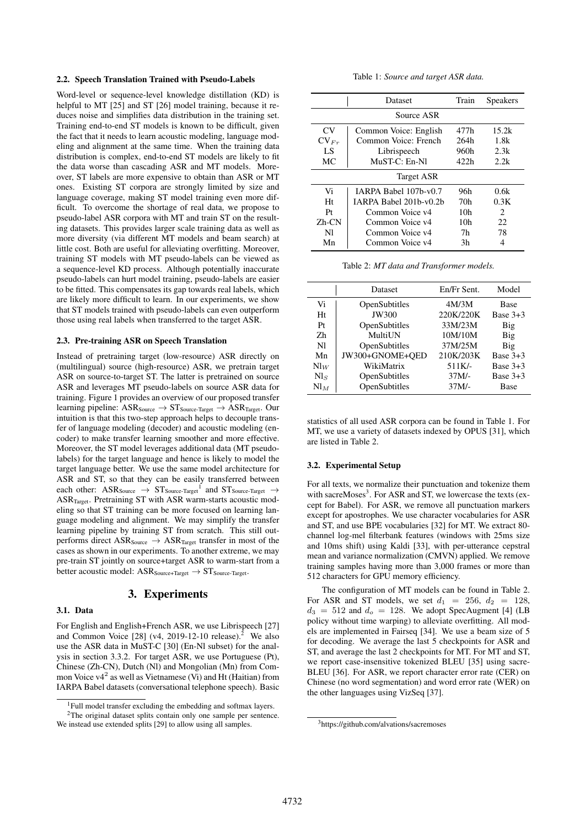### 2.2. Speech Translation Trained with Pseudo-Labels

Word-level or sequence-level knowledge distillation (KD) is helpful to MT [25] and ST [26] model training, because it reduces noise and simplifies data distribution in the training set. Training end-to-end ST models is known to be difficult, given the fact that it needs to learn acoustic modeling, language modeling and alignment at the same time. When the training data distribution is complex, end-to-end ST models are likely to fit the data worse than cascading ASR and MT models. Moreover, ST labels are more expensive to obtain than ASR or MT ones. Existing ST corpora are strongly limited by size and language coverage, making ST model training even more difficult. To overcome the shortage of real data, we propose to pseudo-label ASR corpora with MT and train ST on the resulting datasets. This provides larger scale training data as well as more diversity (via different MT models and beam search) at little cost. Both are useful for alleviating overfitting. Moreover, training ST models with MT pseudo-labels can be viewed as a sequence-level KD process. Although potentially inaccurate pseudo-labels can hurt model training, pseudo-labels are easier to be fitted. This compensates its gap towards real labels, which are likely more difficult to learn. In our experiments, we show that ST models trained with pseudo-labels can even outperform those using real labels when transferred to the target ASR.

#### 2.3. Pre-training ASR on Speech Translation

Instead of pretraining target (low-resource) ASR directly on (multilingual) source (high-resource) ASR, we pretrain target ASR on source-to-target ST. The latter is pretrained on source ASR and leverages MT pseudo-labels on source ASR data for training. Figure 1 provides an overview of our proposed transfer learning pipeline:  $ASR_{Source} \rightarrow ST_{Source-Target} \rightarrow ASR_{Target}$ . Our intuition is that this two-step approach helps to decouple transfer of language modeling (decoder) and acoustic modeling (encoder) to make transfer learning smoother and more effective. Moreover, the ST model leverages additional data (MT pseudolabels) for the target language and hence is likely to model the target language better. We use the same model architecture for ASR and ST, so that they can be easily transferred between each other: ASR<sub>Source</sub>  $\rightarrow$  ST<sub>Source-Target</sub><sup>1</sup> and ST<sub>Source-Target</sub>  $\rightarrow$ ASR<sub>Target</sub>. Pretraining ST with ASR warm-starts acoustic modeling so that ST training can be more focused on learning language modeling and alignment. We may simplify the transfer learning pipeline by training ST from scratch. This still outperforms direct  $ASR_{Source} \rightarrow ASR_{Target}$  transfer in most of the cases as shown in our experiments. To another extreme, we may pre-train ST jointly on source+target ASR to warm-start from a better acoustic model:  $\text{ASR}_{\text{Source+Target}} \rightarrow \text{ST}_{\text{Source-Target}}.$ 

### 3. Experiments

### 3.1. Data

For English and English+French ASR, we use Librispeech [27] and Common Voice  $[28]$  (v4, 2019-12-10 release).<sup>2</sup> We also use the ASR data in MuST-C [30] (En-Nl subset) for the analysis in section 3.3.2. For target ASR, we use Portuguese (Pt), Chinese (Zh-CN), Dutch (Nl) and Mongolian (Mn) from Common Voice  $v4^2$  as well as Vietnamese (Vi) and Ht (Haitian) from IARPA Babel datasets (conversational telephone speech). Basic

| Table 1: Source and target ASR data. |  |  |  |  |  |
|--------------------------------------|--|--|--|--|--|
|--------------------------------------|--|--|--|--|--|

|             | Dataset                | Train | <b>Speakers</b>             |  |  |  |  |
|-------------|------------------------|-------|-----------------------------|--|--|--|--|
| Source ASR  |                        |       |                             |  |  |  |  |
| CV          | Common Voice: English  | 477h  | 15.2k                       |  |  |  |  |
| $CV_{Fr}$   | Common Voice: French   | 264h  | 1.8k                        |  |  |  |  |
| LS          | Librispeech            | 960h  | 2.3k                        |  |  |  |  |
| MC          | $MUST-C: En-N1$        | 422h  | 2.2k                        |  |  |  |  |
| Target ASR  |                        |       |                             |  |  |  |  |
| Vi          | IARPA Babel 107b-y0.7  | 96h   | 0.6k                        |  |  |  |  |
| Ht          | IARPA Babel 201b-y0.2b | 70h   | 0.3K                        |  |  |  |  |
| Pr          | Common Voice v4        | 10h   | $\mathcal{D}_{\mathcal{L}}$ |  |  |  |  |
| $Zh$ - $CN$ | Common Voice v4        | 10h   | 22                          |  |  |  |  |
| Nl          | Common Voice v4        | 7h    | 78                          |  |  |  |  |
| Mn          | Common Voice v4        | 3h    |                             |  |  |  |  |

Table 2: *MT data and Transformer models.*

|                | Dataset         | En/Fr Sent. | Model       |
|----------------|-----------------|-------------|-------------|
| Vi             | OpenSubtitles   | 4M/3M       | <b>Base</b> |
| Ht             | <b>JW300</b>    | 220K/220K   | Base $3+3$  |
| Pr             | OpenSubtitles   | 33M/23M     | Big         |
| Zh             | MultiUN         | 10M/10M     | Big         |
| N <sub>1</sub> | OpenSubtitles   | 37M/25M     | Big         |
| Mn             | JW300+GNOME+OED | 210K/203K   | Base $3+3$  |
| $\text{Nl}_W$  | WikiMatrix      | 511K/-      | Base $3+3$  |
| Nls            | OpenSubtitles   | $37M/-$     | Base $3+3$  |
| $N_{1M}$       | OpenSubtitles   | $37M/-$     | Base        |

statistics of all used ASR corpora can be found in Table 1. For MT, we use a variety of datasets indexed by OPUS [31], which are listed in Table 2.

#### 3.2. Experimental Setup

For all texts, we normalize their punctuation and tokenize them with sacreMoses<sup>3</sup>. For ASR and ST, we lowercase the texts (except for Babel). For ASR, we remove all punctuation markers except for apostrophes. We use character vocabularies for ASR and ST, and use BPE vocabularies [32] for MT. We extract 80 channel log-mel filterbank features (windows with 25ms size and 10ms shift) using Kaldi [33], with per-utterance cepstral mean and variance normalization (CMVN) applied. We remove training samples having more than 3,000 frames or more than 512 characters for GPU memory efficiency.

The configuration of MT models can be found in Table 2. For ASR and ST models, we set  $d_1 = 256$ ,  $d_2 = 128$ ,  $d_3 = 512$  and  $d_0 = 128$ . We adopt SpecAugment [4] (LB policy without time warping) to alleviate overfitting. All models are implemented in Fairseq [34]. We use a beam size of 5 for decoding. We average the last 5 checkpoints for ASR and ST, and average the last 2 checkpoints for MT. For MT and ST, we report case-insensitive tokenized BLEU [35] using sacre-BLEU [36]. For ASR, we report character error rate (CER) on Chinese (no word segmentation) and word error rate (WER) on the other languages using VizSeq [37].

 $1$ Full model transfer excluding the embedding and softmax layers. <sup>2</sup>The original dataset splits contain only one sample per sentence.

We instead use extended splits [29] to allow using all samples.

<sup>3</sup>https://github.com/alvations/sacremoses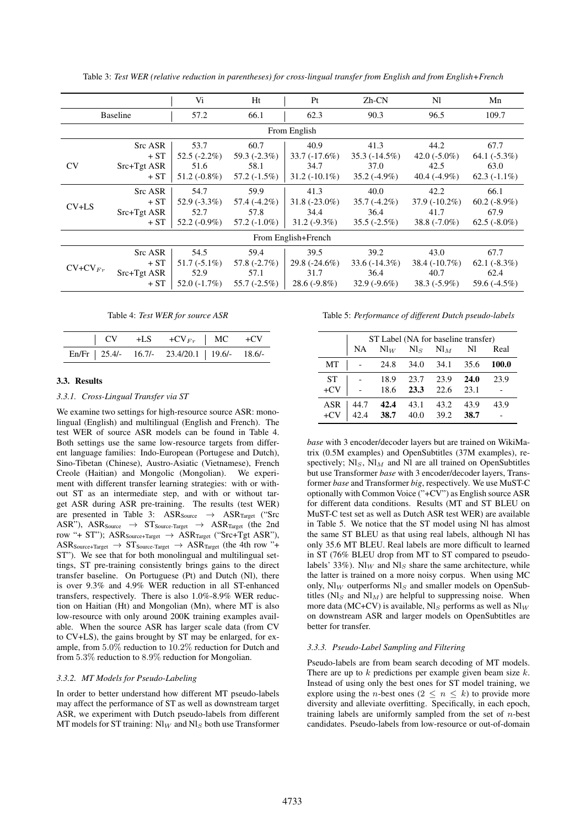|                 |                                          | Vi                                               | Ht                                               | Pt                                                 | $Zh$ - $CN$                                       | N1                                                | Mn                                                |
|-----------------|------------------------------------------|--------------------------------------------------|--------------------------------------------------|----------------------------------------------------|---------------------------------------------------|---------------------------------------------------|---------------------------------------------------|
| <b>Baseline</b> |                                          | 57.2                                             | 66.1                                             | 62.3                                               | 90.3                                              | 96.5                                              | 109.7                                             |
|                 |                                          |                                                  |                                                  | From English                                       |                                                   |                                                   |                                                   |
| <b>CV</b>       | Src ASR<br>$+ST$<br>Src+Tgt ASR<br>$+ST$ | 53.7<br>$52.5(-2.2\%)$<br>51.6<br>$51.2(-0.8\%)$ | 60.7<br>59.3 $(-2.3\%)$<br>58.1<br>$57.2(-1.5%)$ | 40.9<br>$33.7(-17.6%)$<br>34.7<br>$31.2(-10.1\%)$  | 41.3<br>$35.3(-14.5\%)$<br>37.0<br>$35.2(-4.9\%)$ | 44.2<br>42.0 $(-5.0\%)$<br>42.5<br>$40.4(-4.9\%)$ | 67.7<br>64.1 $(-5.3\%)$<br>63.0<br>$62.3(-1.1\%)$ |
| $CV+LS$         | Src ASR<br>$+ST$<br>Src+Tgt ASR<br>$+ST$ | 54.7<br>$52.9(-3.3\%)$<br>52.7<br>$52.2(-0.9\%)$ | 59.9<br>57.4 (-4.2%)<br>57.8<br>$57.2(-1.0\%)$   | 41.3<br>$31.8(-23.0\%)$<br>34.4<br>$31.2(-9.3\%)$  | 40.0<br>$35.7(-4.2\%)$<br>36.4<br>$35.5(-2.5%)$   | 42.2<br>$37.9(-10.2\%)$<br>41.7<br>$38.8(-7.0\%)$ | 66.1<br>$60.2(-8.9\%)$<br>67.9<br>$62.5(-8.0\%)$  |
|                 | From English+French                      |                                                  |                                                  |                                                    |                                                   |                                                   |                                                   |
| $CV+CV_{Fr}$    | Src ASR<br>$+ST$<br>Src+Tgt ASR<br>$+ST$ | 54.5<br>$51.7(-5.1\%)$<br>52.9<br>$52.0(-1.7\%)$ | 59.4<br>$57.8(-2.7%)$<br>57.1<br>$55.7(-2.5%)$   | 39.5<br>29.8 $(-24.6\%)$<br>31.7<br>$28.6(-9.8\%)$ | 39.2<br>$33.6(-14.3\%)$<br>36.4<br>$32.9(-9.6\%)$ | 43.0<br>$38.4(-10.7\%)$<br>40.7<br>$38.3(-5.9\%)$ | 67.7<br>$62.1(-8.3%)$<br>62.4<br>59.6 (-4.5%)     |

Table 3: *Test WER (relative reduction in parentheses) for cross-lingual transfer from English and from English+French*

Table 4: *Test WER for source ASR*

|  | En/Fr   25.4/- 16.7/- 23.4/20.1   19.6/- 18.6/- |  |
|--|-------------------------------------------------|--|

#### 3.3. Results

#### *3.3.1. Cross-Lingual Transfer via ST*

We examine two settings for high-resource source ASR: monolingual (English) and multilingual (English and French). The test WER of source ASR models can be found in Table 4. Both settings use the same low-resource targets from different language families: Indo-European (Portugese and Dutch), Sino-Tibetan (Chinese), Austro-Asiatic (Vietnamese), French Creole (Haitian) and Mongolic (Mongolian). We experiment with different transfer learning strategies: with or without ST as an intermediate step, and with or without target ASR during ASR pre-training. The results (test WER) are presented in Table 3:  $ASR_{Source} \rightarrow ASR_{Target}$  ("Src  $ASR''$ ),  $ASR_{Source}$   $\rightarrow$   $ST_{Source-Target}$   $\rightarrow$   $ASR_{Target}$  (the 2nd row "+ ST");  $\text{ASR}_{\text{Source+Target}} \rightarrow \text{ASR}_{\text{Target}}$  ("Src+Tgt ASR"),  $\text{ASR}_{\text{Source+Target}} \rightarrow \text{ST}_{\text{Source-Target}} \rightarrow \text{ASR}_{\text{Target}}$  (the 4th row "+ ST"). We see that for both monolingual and multilingual settings, ST pre-training consistently brings gains to the direct transfer baseline. On Portuguese (Pt) and Dutch (Nl), there is over 9.3% and 4.9% WER reduction in all ST-enhanced transfers, respectively. There is also 1.0%-8.9% WER reduction on Haitian (Ht) and Mongolian (Mn), where MT is also low-resource with only around 200K training examples available. When the source ASR has larger scale data (from CV to CV+LS), the gains brought by ST may be enlarged, for example, from 5.0% reduction to 10.2% reduction for Dutch and from 5.3% reduction to 8.9% reduction for Mongolian.

#### *3.3.2. MT Models for Pseudo-Labeling*

In order to better understand how different MT pseudo-labels may affect the performance of ST as well as downstream target ASR, we experiment with Dutch pseudo-labels from different MT models for ST training:  $N_{W}$  and  $N_{S}$  both use Transformer Table 5: *Performance of different Dutch pseudo-labels*

|            | ST Label (NA for baseline transfer) |                 |          |        |      |       |
|------------|-------------------------------------|-----------------|----------|--------|------|-------|
|            | NA                                  | $\mathrm{Nl}_W$ | $N\!l_S$ | $Nl_M$ | Nl   | Real  |
| MT         |                                     | 24.8            | 34.0     | 34.1   | 35.6 | 100.0 |
| <b>ST</b>  |                                     | 18.9            | 23.7     | 23.9   | 24.0 | 23.9  |
| $+CV$      |                                     | 18.6            | 23.3     | 22.6   | 23.1 |       |
| <b>ASR</b> | 44.7                                | 42.4            | 43.1     | 43.2   | 43.9 | 43.9  |
| $+CV$      | 42.4                                | 38.7            | 40.0     | 39.2   | 38.7 |       |

*base* with 3 encoder/decoder layers but are trained on WikiMatrix (0.5M examples) and OpenSubtitles (37M examples), respectively;  $N\mathbf{I}_S$ ,  $N\mathbf{I}_M$  and  $N\mathbf{I}$  are all trained on OpenSubtitles but use Transformer *base* with 3 encoder/decoder layers, Transformer *base* and Transformer *big*, respectively. We use MuST-C optionally with Common Voice ("+CV") as English source ASR for different data conditions. Results (MT and ST BLEU on MuST-C test set as well as Dutch ASR test WER) are available in Table 5. We notice that the ST model using Nl has almost the same ST BLEU as that using real labels, although Nl has only 35.6 MT BLEU. Real labels are more difficult to learned in ST (76% BLEU drop from MT to ST compared to pseudolabels' 33%). Nl<sub>W</sub> and Nl<sub>S</sub> share the same architecture, while the latter is trained on a more noisy corpus. When using MC only,  $\text{NI}_W$  outperforms  $\text{NI}_S$  and smaller models on OpenSubtitles ( $Nl<sub>S</sub>$  and  $Nl<sub>M</sub>$ ) are helpful to suppressing noise. When more data (MC+CV) is available, Nl<sub>S</sub> performs as well as  $N\vert_W$ on downstream ASR and larger models on OpenSubtitles are better for transfer.

#### *3.3.3. Pseudo-Label Sampling and Filtering*

Pseudo-labels are from beam search decoding of MT models. There are up to  $k$  predictions per example given beam size  $k$ . Instead of using only the best ones for ST model training, we explore using the *n*-best ones ( $2 \le n \le k$ ) to provide more diversity and alleviate overfitting. Specifically, in each epoch, training labels are uniformly sampled from the set of  $n$ -best candidates. Pseudo-labels from low-resource or out-of-domain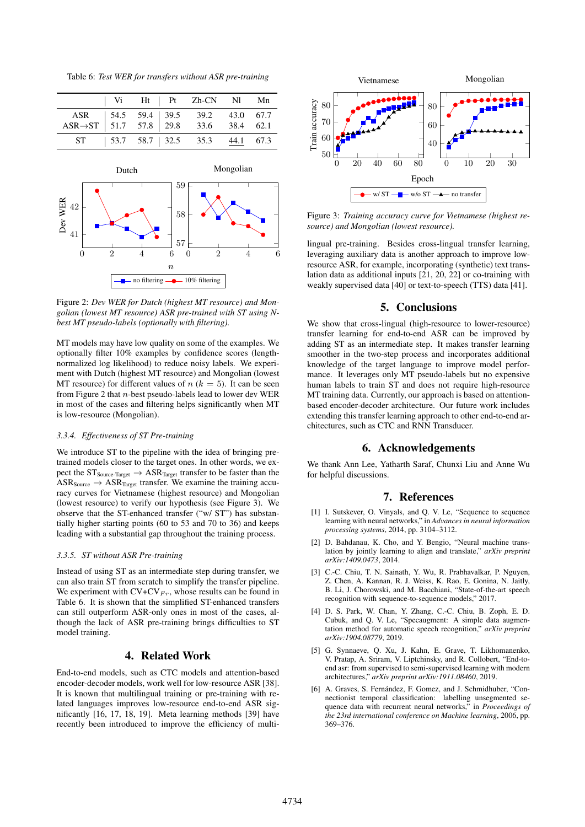Table 6: *Test WER for transfers without ASR pre-training*



Figure 2: *Dev WER for Dutch (highest MT resource) and Mongolian (lowest MT resource) ASR pre-trained with ST using Nbest MT pseudo-labels (optionally with filtering).*

MT models may have low quality on some of the examples. We optionally filter 10% examples by confidence scores (lengthnormalized log likelihood) to reduce noisy labels. We experiment with Dutch (highest MT resource) and Mongolian (lowest MT resource) for different values of  $n (k = 5)$ . It can be seen from Figure 2 that  $n$ -best pseudo-labels lead to lower dev WER in most of the cases and filtering helps significantly when MT is low-resource (Mongolian).

### *3.3.4. Effectiveness of ST Pre-training*

We introduce ST to the pipeline with the idea of bringing pretrained models closer to the target ones. In other words, we expect the  $ST_{Source-Target} \rightarrow ASR_{Target}$  transfer to be faster than the  $ASR_{Source} \rightarrow ASR_{Target}$  transfer. We examine the training accuracy curves for Vietnamese (highest resource) and Mongolian (lowest resource) to verify our hypothesis (see Figure 3). We observe that the ST-enhanced transfer ("w/ ST") has substantially higher starting points (60 to 53 and 70 to 36) and keeps leading with a substantial gap throughout the training process.

#### *3.3.5. ST without ASR Pre-training*

Instead of using ST as an intermediate step during transfer, we can also train ST from scratch to simplify the transfer pipeline. We experiment with  $CV+CV_{Fr}$ , whose results can be found in Table 6. It is shown that the simplified ST-enhanced transfers can still outperform ASR-only ones in most of the cases, although the lack of ASR pre-training brings difficulties to ST model training.

# 4. Related Work

End-to-end models, such as CTC models and attention-based encoder-decoder models, work well for low-resource ASR [38]. It is known that multilingual training or pre-training with related languages improves low-resource end-to-end ASR significantly [16, 17, 18, 19]. Meta learning methods [39] have recently been introduced to improve the efficiency of multi-



Figure 3: *Training accuracy curve for Vietnamese (highest resource) and Mongolian (lowest resource).*

lingual pre-training. Besides cross-lingual transfer learning, leveraging auxiliary data is another approach to improve lowresource ASR, for example, incorporating (synthetic) text translation data as additional inputs [21, 20, 22] or co-training with weakly supervised data [40] or text-to-speech (TTS) data [41].

# 5. Conclusions

We show that cross-lingual (high-resource to lower-resource) transfer learning for end-to-end ASR can be improved by adding ST as an intermediate step. It makes transfer learning smoother in the two-step process and incorporates additional knowledge of the target language to improve model performance. It leverages only MT pseudo-labels but no expensive human labels to train ST and does not require high-resource MT training data. Currently, our approach is based on attentionbased encoder-decoder architecture. Our future work includes extending this transfer learning approach to other end-to-end architectures, such as CTC and RNN Transducer.

## 6. Acknowledgements

We thank Ann Lee, Yatharth Saraf, Chunxi Liu and Anne Wu for helpful discussions.

#### 7. References

- [1] I. Sutskever, O. Vinyals, and Q. V. Le, "Sequence to sequence learning with neural networks," in *Advances in neural information processing systems*, 2014, pp. 3104–3112.
- [2] D. Bahdanau, K. Cho, and Y. Bengio, "Neural machine translation by jointly learning to align and translate," *arXiv preprint arXiv:1409.0473*, 2014.
- [3] C.-C. Chiu, T. N. Sainath, Y. Wu, R. Prabhavalkar, P. Nguyen, Z. Chen, A. Kannan, R. J. Weiss, K. Rao, E. Gonina, N. Jaitly, B. Li, J. Chorowski, and M. Bacchiani, "State-of-the-art speech recognition with sequence-to-sequence models," 2017.
- [4] D. S. Park, W. Chan, Y. Zhang, C.-C. Chiu, B. Zoph, E. D. Cubuk, and Q. V. Le, "Specaugment: A simple data augmentation method for automatic speech recognition," *arXiv preprint arXiv:1904.08779*, 2019.
- [5] G. Synnaeve, Q. Xu, J. Kahn, E. Grave, T. Likhomanenko, V. Pratap, A. Sriram, V. Liptchinsky, and R. Collobert, "End-toend asr: from supervised to semi-supervised learning with modern architectures," *arXiv preprint arXiv:1911.08460*, 2019.
- [6] A. Graves, S. Fernández, F. Gomez, and J. Schmidhuber, "Connectionist temporal classification: labelling unsegmented sequence data with recurrent neural networks," in *Proceedings of the 23rd international conference on Machine learning*, 2006, pp. 369–376.